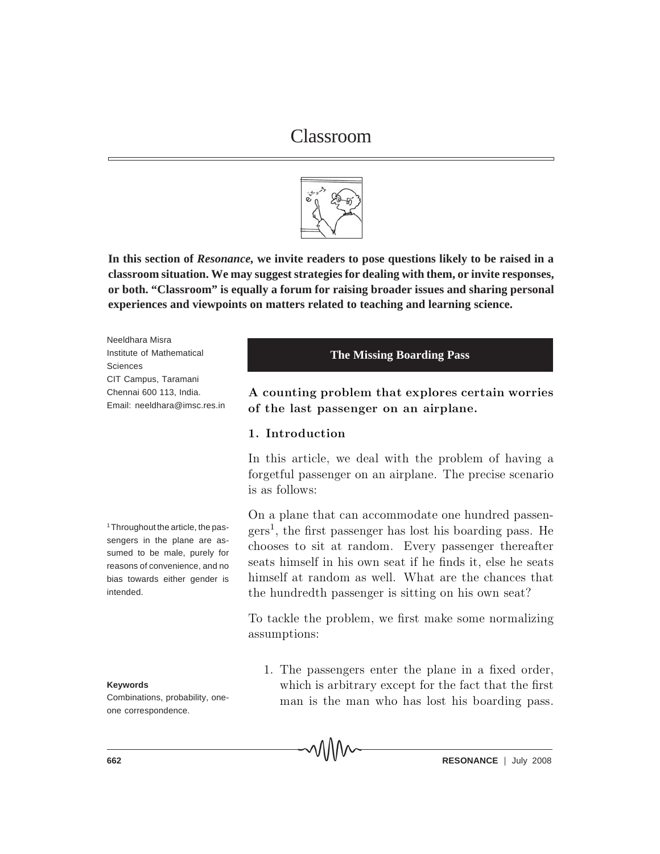

**In this section of** *Resonance,* **we invite readers to pose questions likely to be raised in a classroom situation. We may suggest strategies for dealing with them, or invite responses, or both. "Classroom" is equally a forum for raising broader issues and sharing personal experiences and viewpoints on matters related to teaching and learning science.**

Neeldhara Misra Institute of Mathematical Sciences CIT Campus, Taramani Chennai 600 113, India. Email: neeldhara@imsc.res.in

1 Throughout the article, the passengers in the plane are assumed to be male, purely for reasons of convenience, and no bias towards either gender is intended.

#### **Keywords**

Combinations, probability, oneone correspondence.

#### **The Missing Boarding Pass**

A counting problem that explores certain worries of the last passenger on an airplane.

# 1. Introduction

In this article, we deal with the problem of having a forgetful passenger on an airplane. The precise scenario is as follows:

On a plane that can accommodate one hundred passen $gers<sup>1</sup>$ , the first passenger has lost his boarding pass. He chooses to sit at random. Every passenger thereafter seats himself in his own seat if he finds it, else he seats himself at random as well. What are the chances that the hundred th passenger is sitting on his own seat?

To tack the problem, we first make some normalizing assumptions:

1. The passengers enter the plane in a fixed order, which is arbitrary except for the fact that the first man is the man who has lost his boarding pass.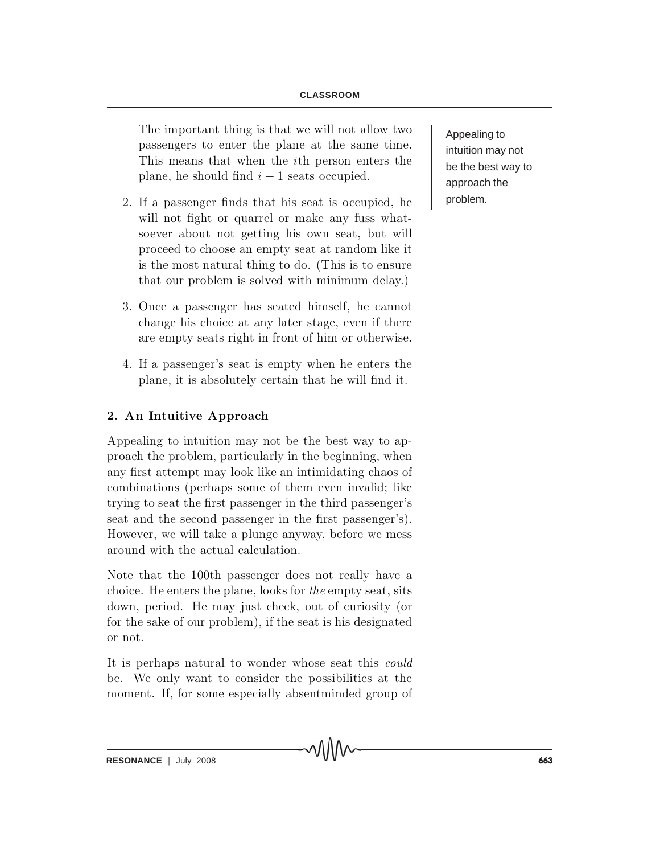#### **CLASSROOM**

The important thing is that we will not allow two passengers to enter the plane at the same time. This means that when the *i*th person enters the plane, he should find  $i - 1$  seats occupied.

- 2. If a passenger finds that his seat is occupied, he will not fight or quarrel or make any fuss whatso ever about not getting his own seat, but will proceed to choose an empty seat at random like it is the most natural thing to do. (This is to ensure that our problem is solved with minimum delay.)
- 3. Once a passenger has seated himself, he cannot change his choice at any later stage, even if there are empty seats right in front of him or otherwise.
- 4. If a passenger's seat is empty when he enters the plane, it is absolutely certain that he will find it.

# 2. An Intuitive Approach

Appealing to intuition may not be the best way to a pproach the problem, particularly in the beginning, when any first attempt may look like an intimidating chaos of combinations (perhaps some of them even invalid; like trying to seat the first passenger in the third passenger's seat and the second passenger in the first passenger's). However, we will take a plunge anyway, before we mess around with the actual calculation.

Note that the 100<sup>th</sup> passenger does not really have a choice. He enters the plane, looks for the empty seat, sits down, period. He may just check, out of curiosity (or for the sake of our problem), if the seat is his designated or not.

It is perhaps natural to wonder whose seat this *could* be. We only want to consider the possibilities at the moment. If, for some especially absentminded group of Appealing to intuition may not be the best way to approach the problem.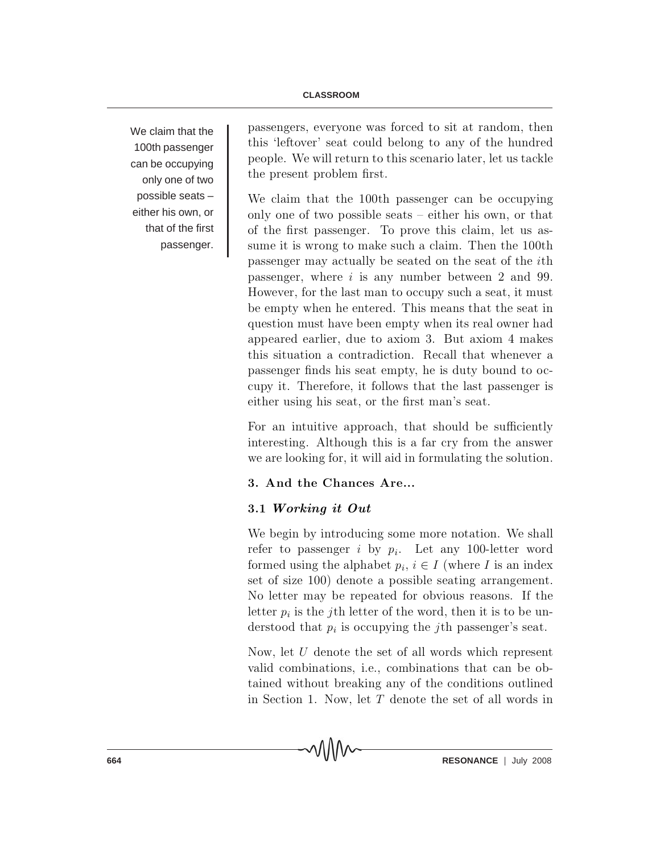We claim that the 100th passenger can be occupying only one of two possible seats – either his own, or that of the first passenger.

passengers, everyone was forced to sit at random, then this 'leftover' seat could belong to any of the hundred people. We will return to this scenario later, let us tack le the present problem first.

We claim that the 100<sup>th</sup> passenger can be occupying only one of two possible seats  $-\text{ either his own, or that}$ of the first passenger. To prove this claim, let us assume it is wrong to make such a claim. Then the 100th passenger may actually be seated on the seat of the *i*th passenger, where  $i$  is any number between 2 and 99. However, for the last man to occupy such a seat, it must be empty when he entered. This means that the seat in question must have been empty when its real owner had appeared earlier, due to axiom 3. But axiom 4 makes this situation a contradiction. Recall that whenever a passenger finds his seat empty, he is duty bound to occupy it. Therefore, it follows that the last passenger is either using his seat, or the first man's seat.

For an intuitive approach, that should be sufficiently interesting. Although this is a far cry from the answer we are looking for, it will aid in formulating the solution.

# 3. And the Chances Are...

MM

# 3.1 Working it Out

We begin by introducing some more notation. We shall refer to passenger i by  $p_i$ . Let any 100-letter word formed using the alphabet  $p_i, i \in I$  (where I is an index set of size 100) denote a possible seating arrangement. No letter may be repeated for obvious reasons. If the letter  $p_i$  is the *j*th letter of the word, then it is to be understood that  $p_i$  is occupying the *j*th passenger's seat.

Now, let  $U$  denote the set of all words which represent valid combinations, i.e., combinations that can be obtained without breaking any of the conditions outlined in Section 1. Now, let  $T$  denote the set of all words in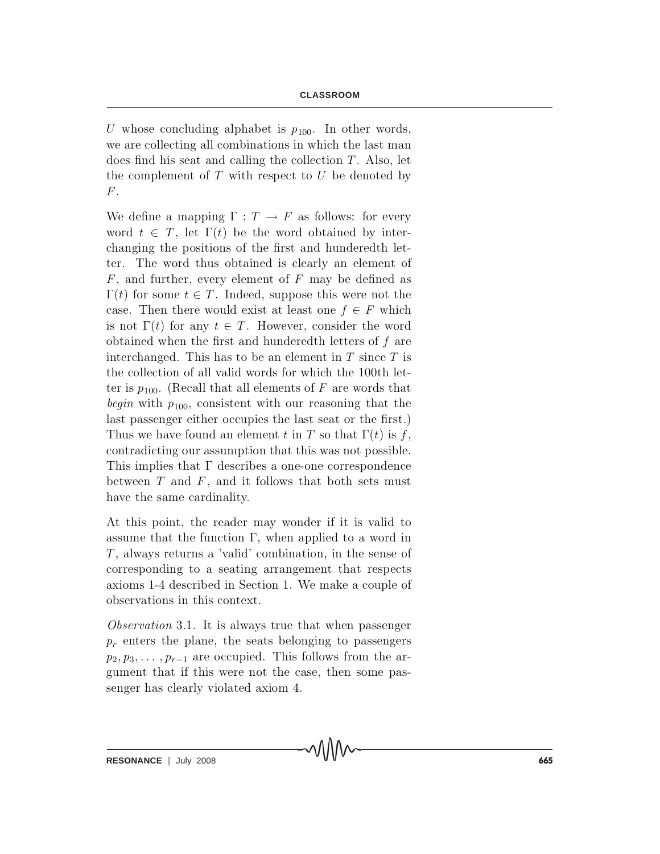U whose concluding alphabet is  $p_{100}$ . In other words, we are collecting all combinations in which the last man does find his seat and calling the collection  $T$ . Also, let the complement of  $T$  with respect to  $U$  be denoted by  $F$ .

We define a mapping  $\Gamma : T \to F$  as follows: for every word  $t \in T$ , let  $\Gamma(t)$  be the word obtained by interchanging the positions of the first and hundered th letter. The word thus obtained is clearly an element of  $F$ , and further, every element of  $F$  may be defined as  $\Gamma(t)$  for some  $t \in T$ . Indeed, suppose this were not the case. Then there would exist at least one  $f \in F$  which is not  $\Gamma(t)$  for any  $t \in T$ . However, consider the word obtained when the first and hundered th letters of  $f$  are interchanged. This has to be an element in  $T$  since  $T$  is the collection of all valid words for which the 100<sup>th</sup> letter is  $p_{100}$ . (Recall that all elements of F are words that *begin* with  $p_{100}$ , consistent with our reasoning that the last passenger either occupies the last seat or the first.) Thus we have found an element t in T so that  $\Gamma(t)$  is f, contradicting our assumption that this was not possible. This implies that  $\Gamma$  describes a one-one correspondence between  $T$  and  $F$ , and it follows that both sets must have the same cardinality.

At this point, the reader may wonder if it is valid to assume that the function  $\Gamma$ , when applied to a word in  $T$ , always returns a 'valid' combination, in the sense of corresponding to a seating arrangement that respects axioms 1-4 described in Section 1. We make a couple of observations in this context.

*Observation* 3.1. It is always true that when passenger  $p_r$  enters the plane, the seats belonging to passengers  $p_2, p_3, \ldots, p_{r-1}$  are occupied. This follows from the argument that if this were not the case, then some passenger has clearly violated axiom 4.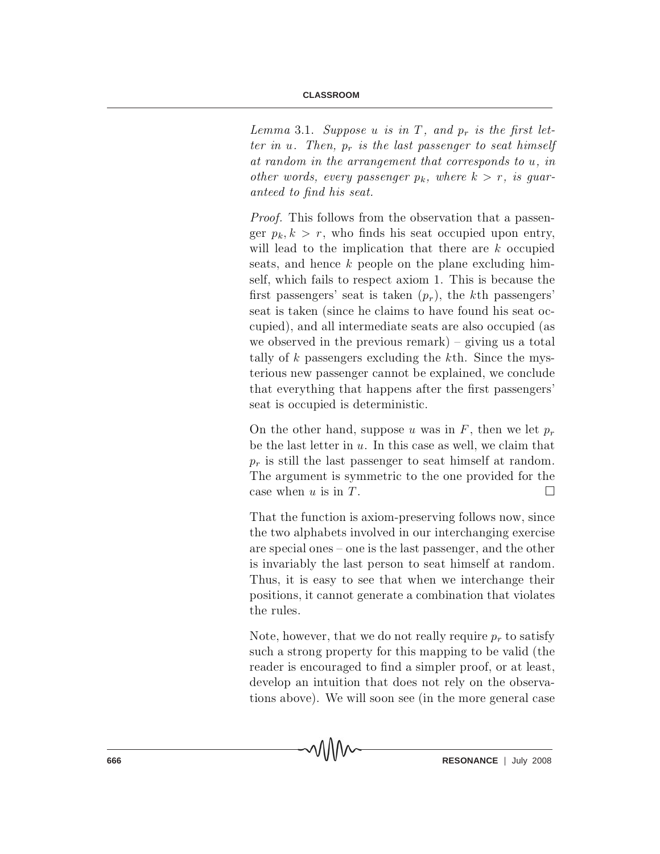Lemma 3.1. Suppose u is in T, and  $p_r$  is the first letter in u. Then,  $p_r$  is the last passenger to seat himself at random in the arrangement that corresponds to  $u$ , in other words, every passenger  $p_k$ , where  $k > r$ , is guaranteed to find his seat.

*Proof.* This follows from the observation that a passenger  $p_k, k > r$ , who finds his seat occupied upon entry, will lead to the implication that there are  $k$  occupied seats, and hence  $k$  people on the plane excluding himself, which fails to respect axiom 1. This is because the first passengers' seat is taken  $(p_r)$ , the kth passengers' seat is taken (since he claims to have found his seat occupied), and all intermediate seats are also occupied (as we observed in the previous remark  $)$  – giving us a total tally of  $k$  passengers excluding the  $k$ th. Since the mysterious new passenger cannot be explained, we conclude that every thing that happens after the first passengers' seat is occupied is deterministic.

On the other hand, suppose u was in F, then we let  $p_r$ be the last letter in  $u$ . In this case as well, we claim that  $p_r$  is still the last passenger to seat himself at random. The argument is symmetric to the one provided for the case when u is in T.

That the function is axiom-preserving follows now, since the two alphabets involved in our interchanging exercise are special ones  ${\bf -}$  one is the last passenger, and the other is invariably the last person to seat himself at random. Thus, it is easy to see that when we interchange their positions, it cannot generate a combination that violates the rules.

Note, however, that we do not really require  $p_r$  to satisfy such a strong property for this mapping to be valid (the reader is encouraged to find a simpler proof, or at least, develop an intuition that does not rely on the observations above). We will soon see (in the more general case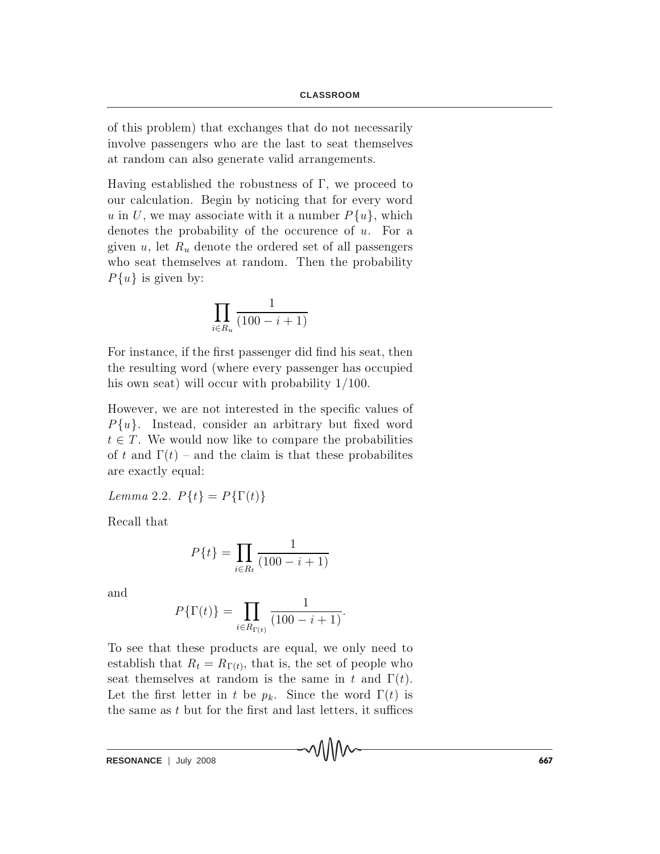of this problem) that exchanges that do not necessarily involve passengers who are the last to seat themselves at random can also generate valid arrangements.

Having established the robustness of  $\Gamma$ , we proceed to our calculation. Begin by noticing that for every word u in U, we may associate with it a number  $P\{u\}$ , which denotes the probability of the occurence of  $u$ . For a given  $u$ , let  $R_u$  denote the ordered set of all passengers who seat themselves at random. Then the probability  $P\{u\}$  is given by:

$$
\prod_{i \in R_u} \frac{1}{(100 - i + 1)}
$$

For instance, if the first passenger did find his seat, then the resulting word (where every passenger has occupied his own seat) will occur with probability  $1/100$ .

However, we are not interested in the specific values of  $P{u}$ . Instead, consider an arbitrary but fixed word  $t \in T$ . We would now like to compare the probabilities of t and  $\Gamma(t)$  – and the claim is that these probabilities are exactly equal:

Lemma 2.2.  $P\{t\} = P\{\Gamma(t)\}\$ 

Recall that

$$
P\{t\} = \prod_{i \in R_t} \frac{1}{(100 - i + 1)}
$$

and

$$
P\{\Gamma(t)\} = \prod_{i \in R_{\Gamma(t)}} \frac{1}{(100 - i + 1)}.
$$

To see that these products are equal, we only need to establish that  $R_t = R_{\Gamma(t)}$ , that is, the set of people who seat themselves at random is the same in t and  $\Gamma(t)$ . Let the first letter in t be  $p_k$ . Since the word  $\Gamma(t)$  is the same as  $t$  but for the first and last letters, it suffices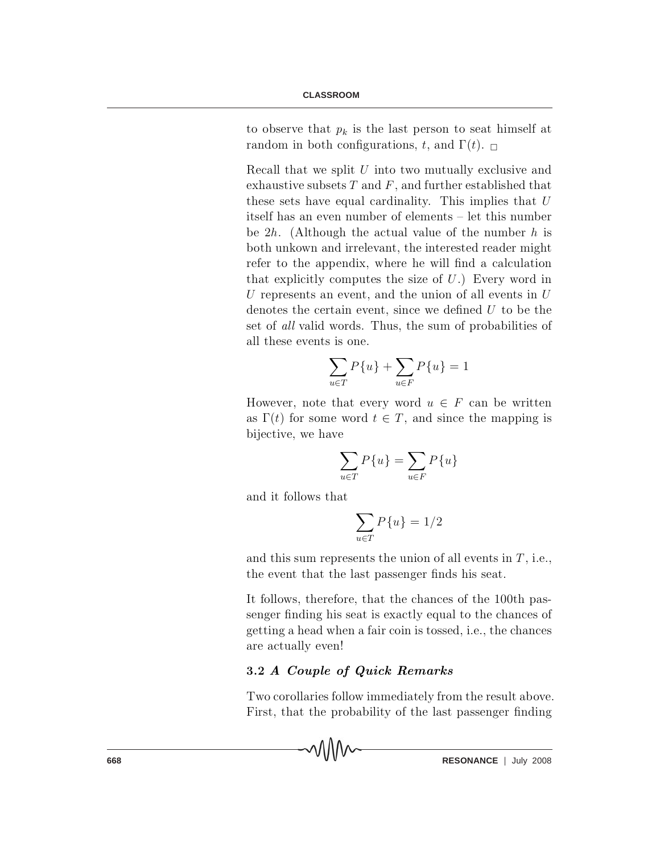to observe that  $p_k$  is the last person to seat himself at random in both configurations, t, and  $\Gamma(t)$ .

Recall that we split  $U$  into two mutually exclusive and exhaustive subsets  $T$  and  $F$ , and further established that these sets have equal cardinality. This implies that  $U$ itself has an even number of elements – let this number be  $2h$ . (Although the actual value of the number h is both unkown and irrelevant, the interested reader might refer to the appendix, where he will find a calculation that explicitly computes the size of  $U$ .) Every word in U represents an event, and the union of all events in  $U$ denotes the certain event, since we defined  $U$  to be the set of all valid words. Thus, the sum of probabilities of all these events is one.

$$
\sum_{u \in T} P\{u\} + \sum_{u \in F} P\{u\} = 1
$$

However, note that every word  $u \in F$  can be written as  $\Gamma(t)$  for some word  $t \in T$ , and since the mapping is bijective, we have

$$
\sum_{u \in T} P\{u\} = \sum_{u \in F} P\{u\}
$$

and it follows that

$$
\sum_{u \in T} P\{u\} = 1/2
$$

and this sum represents the union of all events in  $T$ , i.e., the event that the last passenger finds his seat.

It follows, therefore, that the chances of the 100<sup>th</sup> passenger finding his seat is exactly equal to the chances of getting a head when a fair coin is tossed, i.e., the chances are actually even!

## 3.2 A Couple of Quick Remarks

Two corollaries follow immediately from the result above. First, that the probability of the last passenger finding

**668 RESONANCE** | July 2008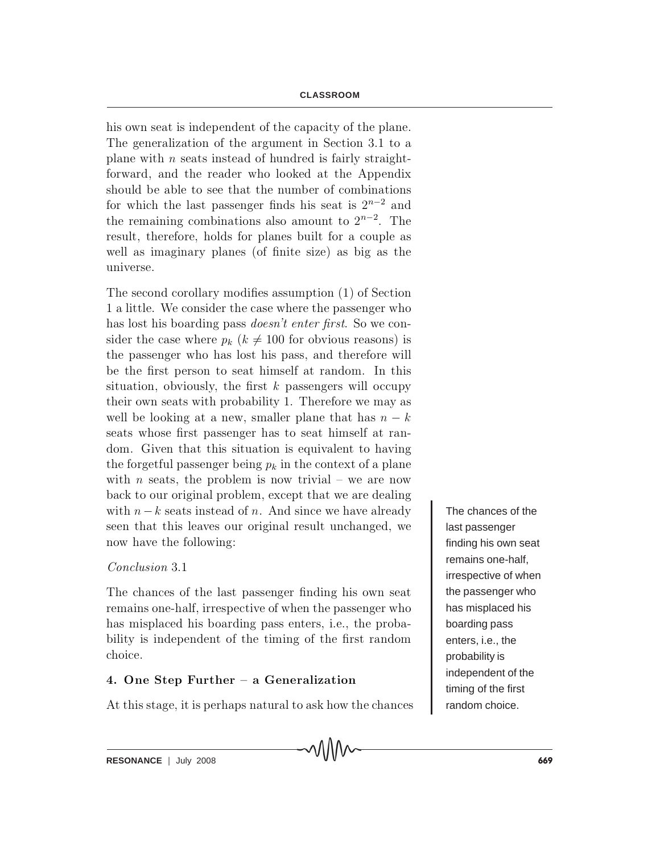his own seat is independent of the capacity of the plane. The generalization of the argument in Section 3.1 to a plane with n seats instead of hundred is fairly straightforward, and the reader who looked at the Appendix should be able to see that the number of combinations for which the last passenger finds his seat is  $2^{n-2}$  and the remaining combinations also amount to  $2^{n-2}$ . The result, therefore, holds for planes built for a couple as well as imaginary planes (of finite size) as big as the universe.

The second corollary modifies assumption  $(1)$  of Section 1 a little. We consider the case where the passenger who has lost his boarding pass *doesn't enter first*. So we consider the case where  $p_k$  ( $k \neq 100$  for obvious reasons) is the passenger who has lost his pass, and therefore will be the first person to seat himself at random. In this situation, obviously, the first  $k$  passengers will occupy their own seats with probability 1. Therefore we may as well be looking at a new, smaller plane that has  $n - k$ seats whose first passenger has to seat himself at random. Given that this situation is equivalent to having the forgetful passenger being  $p_k$  in the context of a plane with *n* seats, the problem is now trivial – we are now back to our original problem, except that we are dealing with  $n - k$  seats instead of n. And since we have already seen that this leaves our original result unchanged, we now have the following:

# Conclusion 3.1

The chances of the last passenger finding his own seat remains one-half, irrespective of when the passenger who has misplaced his boarding pass enters, i.e., the probability is independent of the timing of the first random choice.

# 4. One Step Further  $-$  a Generalization

At this stage, it is perhaps natural to ask how the chances

MMV

The chances of the last passenger finding his own seat remains one-half, irrespective of when the passenger who has misplaced his boarding pass enters, i.e., the probability is independent of the timing of the first random choice.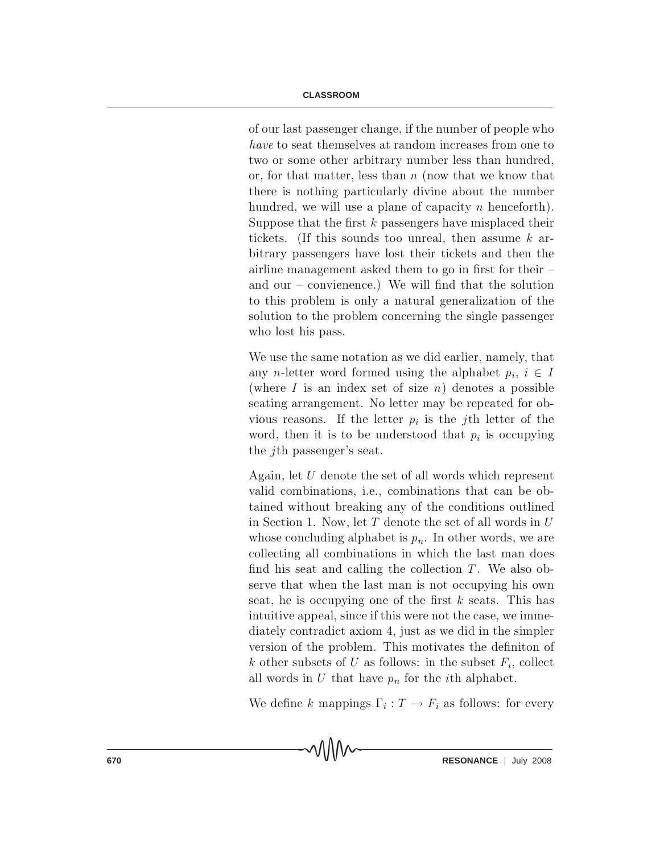of our last passenger change, if the number of people who have to seat themselves at random increases from one to two or some other arbitrary number less than hundred, or, for that matter, less than  $n$  (now that we know that there is nothing particularly divine about the number hundred, we will use a plane of capacity n henceforth). Suppose that the first  $k$  passengers have misplaced their tickets. (If this sounds too unreal, then assume  $k$  arbitrary passengers have lost their tickets and then the a irline management asked them to go in first for their  $=$ and our  $-$  convienence.) We will find that the solution to this problem is only a natural generalization of the solution to the problem concerning the single passenger who lost his pass.

We use the same notation as we did earlier, namely, that any n-letter word formed using the alphabet  $p_i, i \in I$ (where I is an index set of size n) denotes a possible seating arrangement. No letter may be repeated for obvious reasons. If the letter  $p_i$  is the j<sup>th</sup> letter of the word, then it is to be understood that  $p_i$  is occupying the *j*th passenger's seat.

Again, let  $U$  denote the set of all words which represent valid combinations, i.e., combinations that can be obtained without breaking any of the conditions outlined in Section 1. Now, let  $T$  denote the set of all words in  $U$ whose concluding alphabet is  $p_n$ . In other words, we are collecting all combinations in which the last man does find his seat and calling the collection  $T$ . We also observe that when the last man is not occupying his own seat, he is occupying one of the first k seats. This has intuitive appeal, since if this were not the case, we immediately contradict axiom 4, just as we did in the simpler version of the problem. This motivates the definition of k other subsets of U as follows: in the subset  $F_i$ , collect all words in U that have  $p_n$  for the *i*th alphabet.

We define k mappings  $\Gamma_i : T \to F_i$  as follows: for every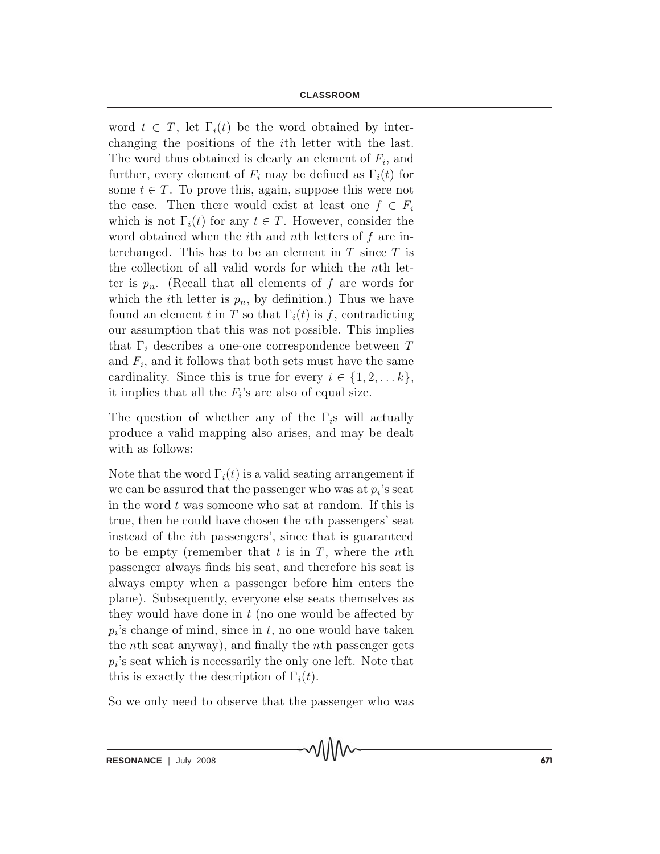word  $t \in T$ , let  $\Gamma_i(t)$  be the word obtained by interchanging the positions of the *i*th letter with the last. The word thus obtained is clearly an element of  $F_i$ , and further, every element of  $F_i$  may be defined as  $\Gamma_i(t)$  for some  $t \in T$ . To prove this, again, suppose this were not the case. Then there would exist at least one  $f \in F_i$ which is not  $\Gamma_i(t)$  for any  $t \in T$ . However, consider the word obtained when the *i*th and *n*th letters of  $f$  are interchanged. This has to be an element in  $T$  since  $T$  is the collection of all valid words for which the n<sup>th</sup> letter is  $p_n$ . (Recall that all elements of f are words for which the *i*th letter is  $p_n$ , by definition.) Thus we have found an element t in T so that  $\Gamma_i(t)$  is f, contradicting our assumption that this was not possible. This implies that  $\Gamma_i$  describes a one-one correspondence between T and  $F_i$ , and it follows that both sets must have the same cardinality. Since this is true for every  $i \in \{1,2,\ldots,k\},\$ it implies that all the  $F_i$ 's are also of equal size.

The question of whether any of the  $\Gamma_i$ s will actually produce a valid mapping also arises, and may be dealt with as follows:

Note that the word  $\Gamma_i(t)$  is a valid seating arrangement if we can be assured that the passenger who was at  $p_i$ 's seat in the word  $t$  was someone who sat at random. If this is true, then he could have chosen the n<sup>th</sup> passengers' seat in stead of the *i*th passengers', since that is guaranteed to be empty (remember that t is in  $T$ , where the nth passenger always finds his seat, and therefore his seat is always empty when a passenger before him enters the plane). Subsequently, everyone else seats themselves as they would have done in  $t$  (no one would be affected by  $p_i$ 's change of mind, since in t, no one would have taken the *n*th seat anyway), and finally the *n*th passenger gets  $p_i$ 's seat which is necessarily the only one left. Note that this is exactly the description of  $\Gamma_i(t)$ .

So we only need to observe that the passenger who was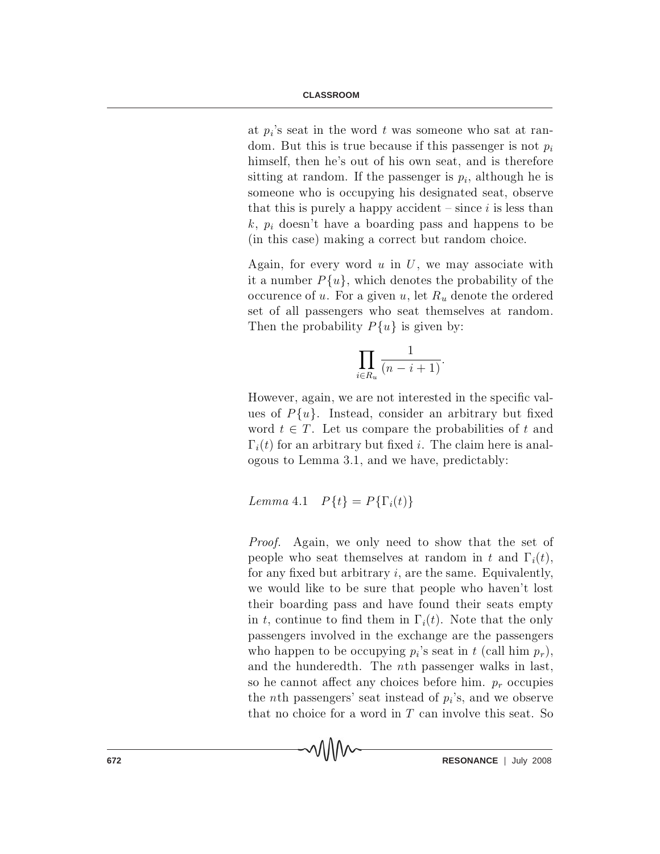at  $p_i$ 's seat in the word t was someone who sat at random. But this is true because if this passenger is not  $p_i$ himself, then he's out of his own seat, and is therefore sitting at random. If the passenger is  $p_i$ , although he is someone who is occupying his designated seat, observe that this is purely a happy accident  $-\text{since } i$  is less than  $k, p_i$  doesn't have a boarding pass and happens to be (in this case) making a correct but random choice.

Again, for every word  $u$  in  $U$ , we may associate with it a number  $P\{u\}$ , which denotes the probability of the occurence of u. For a given u, let  $R_u$  denote the ordered set of all passengers who seat themselves at random. Then the probability  $P\{u\}$  is given by:

$$
\prod_{i \in R_u} \frac{1}{(n-i+1)}.
$$

However, again, we are not interested in the specific values of  $P\{u\}$ . Instead, consider an arbitrary but fixed word  $t \in T$ . Let us compare the probabilities of t and  $\Gamma_i(t)$  for an arbitrary but fixed i. The claim here is analogous to Lemma 3.1, and we have, predictably:

Lemma 4.1  $P\{t\} = P\{\Gamma_i(t)\}\$ 

MM

*Proof.* Again, we only need to show that the set of people who seat themselves at random in t and  $\Gamma_i(t)$ , for any fixed but arbitrary  $i$ , are the same. Equivalently, we would like to be sure that people who haven't lost their boarding pass and have found their seats empty in t, continue to find them in  $\Gamma_i(t)$ . Note that the only passengers involved in the exchange are the passengers who happen to be occupying  $p_i$ 's seat in t (call him  $p_r$ ), and the hundered th. The  $n$ <sup>th</sup> passenger walks in last, so he cannot affect any choices before him.  $p_r$  occupies the *n*th passengers' seat instead of  $p_i$ 's, and we observe that no choice for a word in  $T$  can involve this seat. So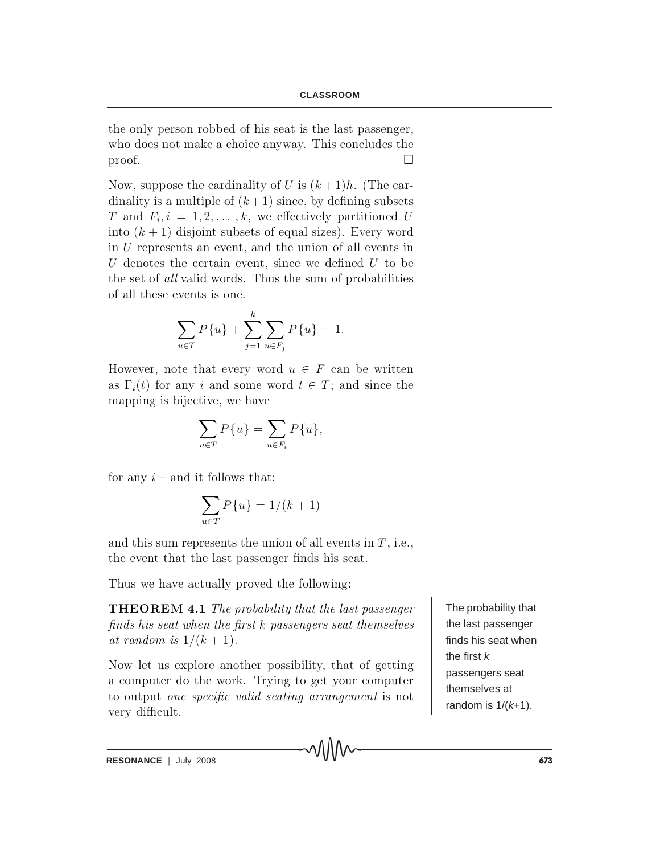the only person robbed of his seat is the last passenger, who does not make a choice anyway. This concludes the proof.  $\Box$ 

Now, suppose the cardinality of U is  $(k+1)h$ . (The cardinality is a multiple of  $(k+1)$  since, by defining subsets T and  $F_i, i = 1, 2, ..., k$ , we effectively partitioned U into  $(k + 1)$  disjoint subsets of equal sizes). Every word in  $U$  represents an event, and the union of all events in  $U$  denotes the certain event, since we defined  $U$  to be the set of all valid words. Thus the sum of probabilities of all these events is one.

$$
\sum_{u \in T} P\{u\} + \sum_{j=1}^{k} \sum_{u \in F_j} P\{u\} = 1.
$$

However, note that every word  $u \in F$  can be written as  $\Gamma_i(t)$  for any i and some word  $t \in T$ ; and since the mapping is bijective, we have

$$
\sum_{u \in T} P\{u\} = \sum_{u \in F_i} P\{u\},\
$$

for any  $i$  – and it follows that:

$$
\sum_{u \in T} P\{u\} = 1/(k+1)
$$

and this sum represents the union of all events in  $T$ , i.e., the event that the last passenger finds his seat.

Thus we have actually proved the following:

**THEOREM 4.1** The probability that the last passenger  $finds$  his seat when the first  $k$  passengers seat themselves at random is  $1/(k+1)$ .

Now let us explore another possibility, that of getting a computer do the work. Trying to get your computer to output *one specific valid seating arrangement* is not very difficult.

The probability that the last passenger finds his seat when the first  $k$ passengers seat themselves at random is  $1/(k+1)$ .

RESONANCE | July 2008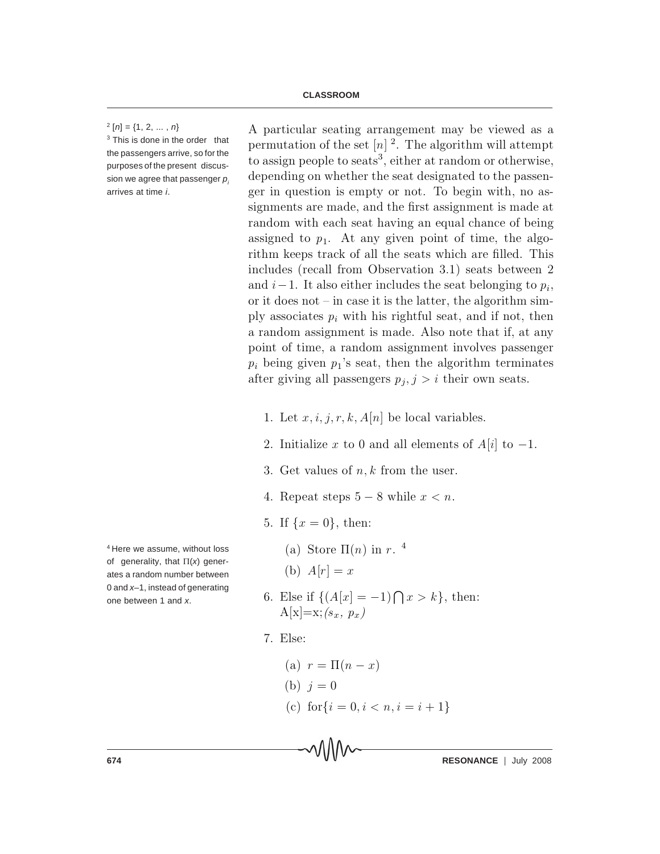#### $2[n] = \{1, 2, \ldots, n\}$

 $3$  This is done in the order that the passengers arrive, so for the purposes of the present discussion we agree that passenger  $p_i$ arrives at time *i*.

4 Here we assume, without loss of generality, that Π(*x*) generates a random number between 0 and *x*–1, instead of generating one between 1 and *x*.

A particular seating arrangement may be viewed as a permutation of the set  $[n]^2$ . The algorithm will attempt to assign people to seats<sup>3</sup>, either at random or otherwise, depending on whether the seat designated to the passenger in question is empty or not. To begin with, no assignments are made, and the first assignment is made at random with each seat having an equal chance of being assigned to  $p_1$ . At any given point of time, the algorithm keeps track of all the seats which are filled. This includes (recall from Observation 3.1) seats between  $2$ and  $i-1$ . It also either includes the seat belonging to  $p_i$ , or it does not  ${\rm -}$  in case it is the latter, the algorithm simply associates  $p_i$  with his rightful seat, and if not, then a random assignment is made. Also note that if, at any point of time, a random assignment involves passenger  $p_i$  being given  $p_1$ 's seat, then the algorithm terminates after giving all passengers  $p_j, j > i$  their own seats.

- 1. Let  $x, i, j, r, k, A[n]$  be local variables.
- 2. Initialize x to 0 and all elements of  $A[i]$  to  $-1$ .
- 3. Get values of  $n, k$  from the user.
- 4. Repeat steps  $5-8$  while  $x < n$ .
- 5. If  $\{x = 0\}$ , then:
	- (a) Store  $\Pi(n)$  in r. <sup>4</sup>
	- (b)  $A[r] = x$
- 6. Else if  $\{(A[x] = -1) \cap x > k\}$ , then:  $A[x]=x$ ;  $(s_x, p_x)$
- 7. Else:
	- (a)  $r = \Pi(n x)$ (b)  $i = 0$ (c) for  $\{i = 0, i < n, i = i + 1\}$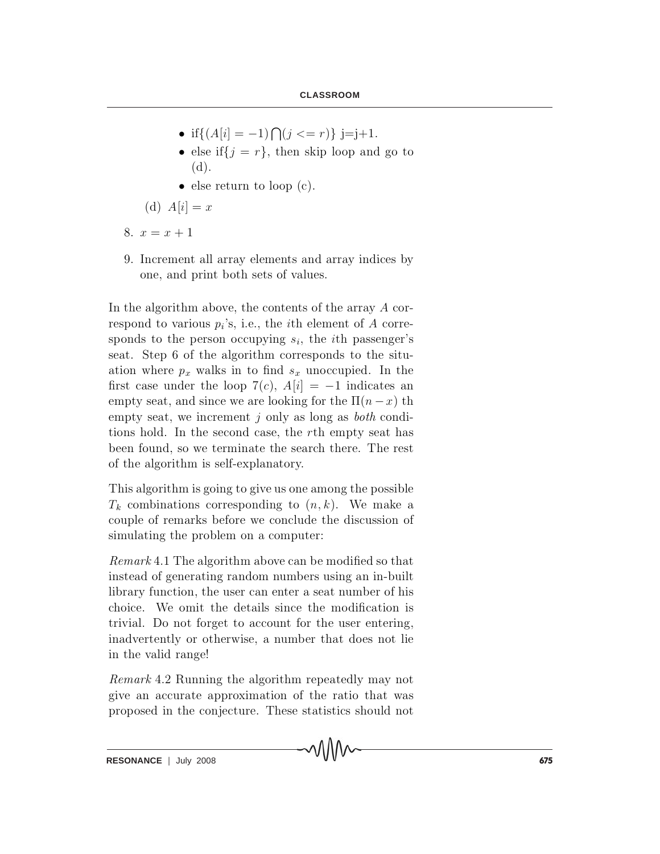- if  $\{(A[i] = -1) \bigcap (j \leq r)\}\ j = j + 1$ .
- else if  $\{j = r\}$ , then skip loop and go to  $(d).$
- $\bullet$  else return to loop (c).

(d)  $A[i] = x$ 

- 8.  $x = x + 1$
- 9. Increment all array elements and array indices by one, and print both sets of values.

In the algorithm above, the contents of the array  $A$  correspond to various  $p_i$ 's, i.e., the *i*th element of A corresponds to the person occupying  $s_i$ , the *i*th passenger's seat. Step 6 of the algorithm corresponds to the situation where  $p_x$  walks in to find  $s_x$  unoccupied. In the first case under the loop  $7(c)$ ,  $A[i] = -1$  indicates an empty seat, and since we are looking for the  $\Pi(n-x)$  th empty seat, we increment j only as long as *both* conditions hold. In the second case, the rth empty seat has been found, so we terminate the search there. The rest of the algorithm is self-explanatory.

This algorithm is going to give us one among the possible  $T_k$  combinations corresponding to  $(n, k)$ . We make a couple of remarks before we conclude the discussion of simulating the problem on a computer:

 $Remark 4.1$  The algorithm above can be modified so that in stead of generating random numbers using an in-built library function, the user can enter a seat number of his choice. We omit the details since the modification is trivial. Do not forget to account for the user entering, in advertently or otherwise, a number that does not lie in the valid range!

 $Remark 4.2$  Running the algorithm repeatedly may not give an accurate approximation of the ratio that was proposed in the conjecture. These statistics should not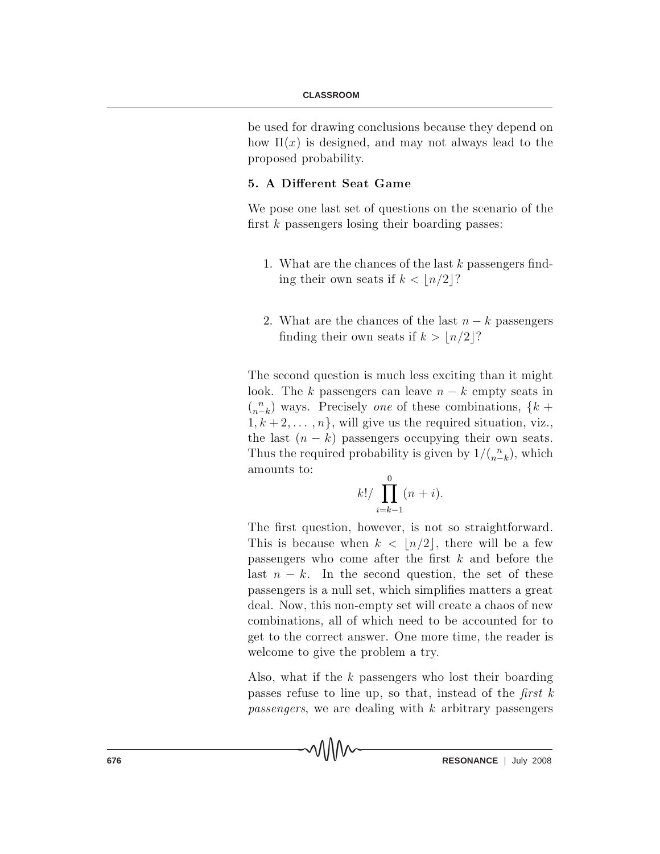#### **CLASSROOM**

be used for drawing conclusions because they depend on how  $\Pi(x)$  is designed, and may not always lead to the proposed probability.

## 5. A Different Seat Game

We pose one last set of questions on the scenario of the first  $k$  passengers losing their boarding passes:

- 1. What are the chances of the last k passengers finding their own seats if  $k < \lfloor n/2 \rfloor$ ?
- 2. What are the chances of the last  $n k$  passengers finding their own seats if  $k > \lfloor n/2 \rfloor?$

The second question is much less exciting than it might look. The k passengers can leave  $n - k$  empty seats in  $\binom{n}{n-k}$  ways. Precisely one of these combinations,  $\{k + \}$  $1, k + 2, \ldots, n$ , will give us the required situation, viz., the last  $(n - k)$  passengers occupying their own seats. Thus the required probability is given by  $1/( {n \choose n-k} )$ , which amounts to:

$$
k!/\prod_{i=k-1}^{0}(n+i).
$$

The first question, however, is not so straightforward. This is because when  $k < |n/2|$ , there will be a few passengers who come after the first  $k$  and before the last  $n - k$ . In the second question, the set of these passengers is a null set, which simplifies matters a great deal. Now, this non-empty set will create a chaos of new combinations, all of which need to be accounted for to get to the correct answer. One more time, the reader is welcome to give the problem a try.

Also, what if the  $k$  passengers who lost their boarding passes refuse to line up, so that, instead of the first  $k$ *passengers*, we are dealing with k arbitrary passengers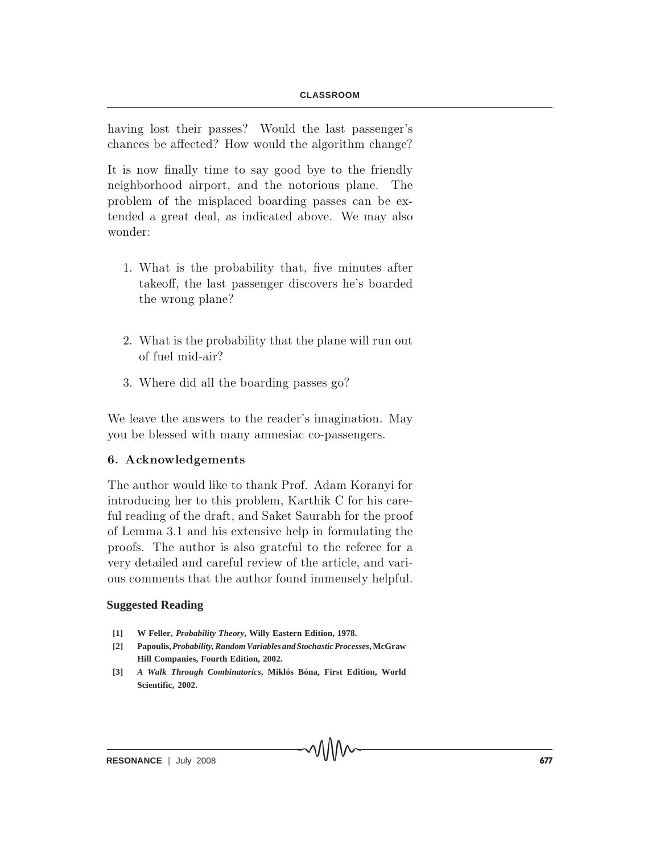having lost their passes? Would the last passenger's chances be affected? How would the algorithm change?

It is now finally time to say good by to the friendly n eighborhood airport, and the notorious plane. The problem of the misplaced boarding passes can be extended a great deal, as indicated above. We may also wonder:

- 1. What is the probability that, five minutes after takeoff, the last passenger discovers he's boarded the wrong plane?
- 2. What is the probability that the plane will run out of fuel mid-air?
- 3. Where did all the boarding passes go?

We leave the answers to the reader's imagination. May you be blessed with many amnesiac co-passengers.

### 6. Acknowledgements

The author would like to thank Prof. Adam Koranyi for introducing her to this problem, Karthik C for his careful reading of the draft, and Saket Saurabh for the proof of Lemma 3.1 and his extensive help in formulating the proofs. The author is also grateful to the referee for a very detailed and careful review of the article, and various comments that the author found immensely helpful.

### **Suggested Reading**

- **[1] W Feller,** *Probability Theory***, Willy Eastern Edition, 1978.**
- **[2] Papoulis,** *Probability, Random Variables and Stochastic Processes***, McGraw Hill Companies, Fourth Edition, 2002.**
- **[3]** *A Walk Through Combinatorics***, Miklós Bóna, First Edition, World Scientific, 2002.**

MMW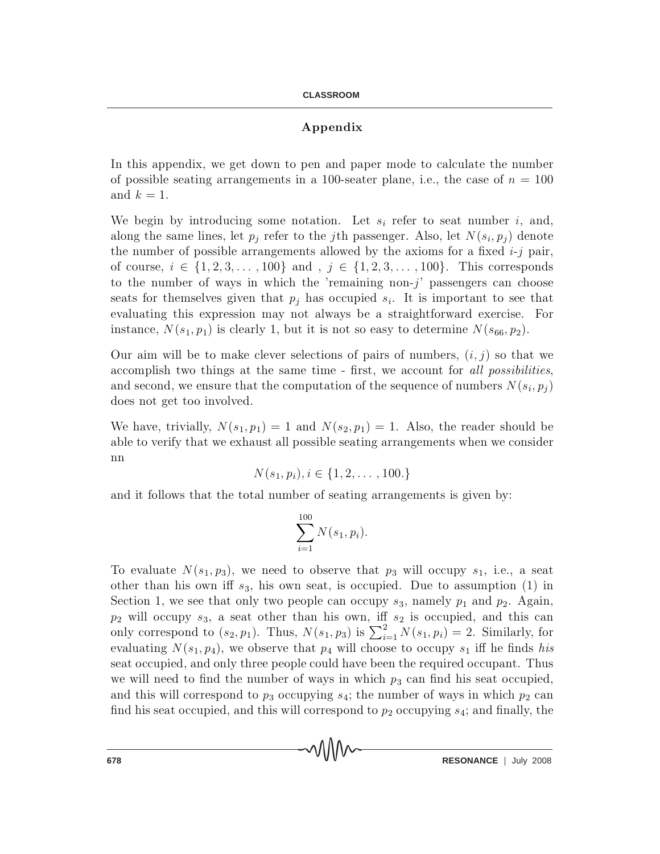## Appendix

In this appendix, we get down to pen and paper mode to calculate the number of possible seating arrangements in a 100-seater plane, i.e., the case of  $n = 100$ and  $k=1$ .

We begin by introducing some notation. Let  $s_i$  refer to seat number i, and, along the same lines, let  $p_j$  refer to the *j*th passenger. Also, let  $N(s_i, p_j)$  denote the number of possible arrangements allowed by the axioms for a fixed  $i-j$  pair, of course,  $i \in \{1, 2, 3, ..., 100\}$  and,  $j \in \{1, 2, 3, ..., 100\}$ . This corresponds to the number of ways in which the 'remaining non- $j$ ' passengers can choose seats for themselves given that  $p_j$  has occupied  $s_i$ . It is important to see that evaluating this expression may not always be a straightforward exercise. For instance,  $N(s_1, p_1)$  is clearly 1, but it is not so easy to determine  $N(s_{66}, p_2)$ .

Our aim will be to make clever selections of pairs of numbers,  $(i, j)$  so that we accomplish two things at the same time - first, we account for all possibilities, and second, we ensure that the computation of the sequence of numbers  $N(s_i, p_i)$ does not get too involved.

We have, trivially,  $N(s_1, p_1) = 1$  and  $N(s_2, p_1) = 1$ . Also, the reader should be able to verify that we exhaust all possible seating arrangements when we consider  $nn$ 

$$
N(s_1, p_i), i \in \{1, 2, \ldots, 100.\}
$$

and it follows that the total number of seating arrangements is given by:

$$
\sum_{i=1}^{100} N(s_1, p_i).
$$

To evaluate  $N(s_1, p_3)$ , we need to observe that  $p_3$  will occupy  $s_1$ , i.e., a seat other than his own iff  $s_3$ , his own seat, is occupied. Due to assumption (1) in Section 1, we see that only two people can occupy  $s_3$ , namely  $p_1$  and  $p_2$ . Again,  $p_2$  will occupy  $s_3$ , a seat other than his own, iff  $s_2$  is occupied, and this can only correspond to  $(s_2, p_1)$ . Thus,  $N(s_1, p_3)$  is  $\sum_{i=1}^{2} N(s_1, p_i) = 2$ . Similarly, for evaluating  $N(s_1, p_4)$ , we observe that  $p_4$  will choose to occupy  $s_1$  iff he finds his seat occupied, and only three people could have been the required occupant. Thus we will need to find the number of ways in which  $p_3$  can find his seat occupied, and this will correspond to  $p_3$  occupying  $s_4$ ; the number of ways in which  $p_2$  can find his seat occupied, and this will correspond to  $p_2$  occupying  $s_4$ ; and finally, the